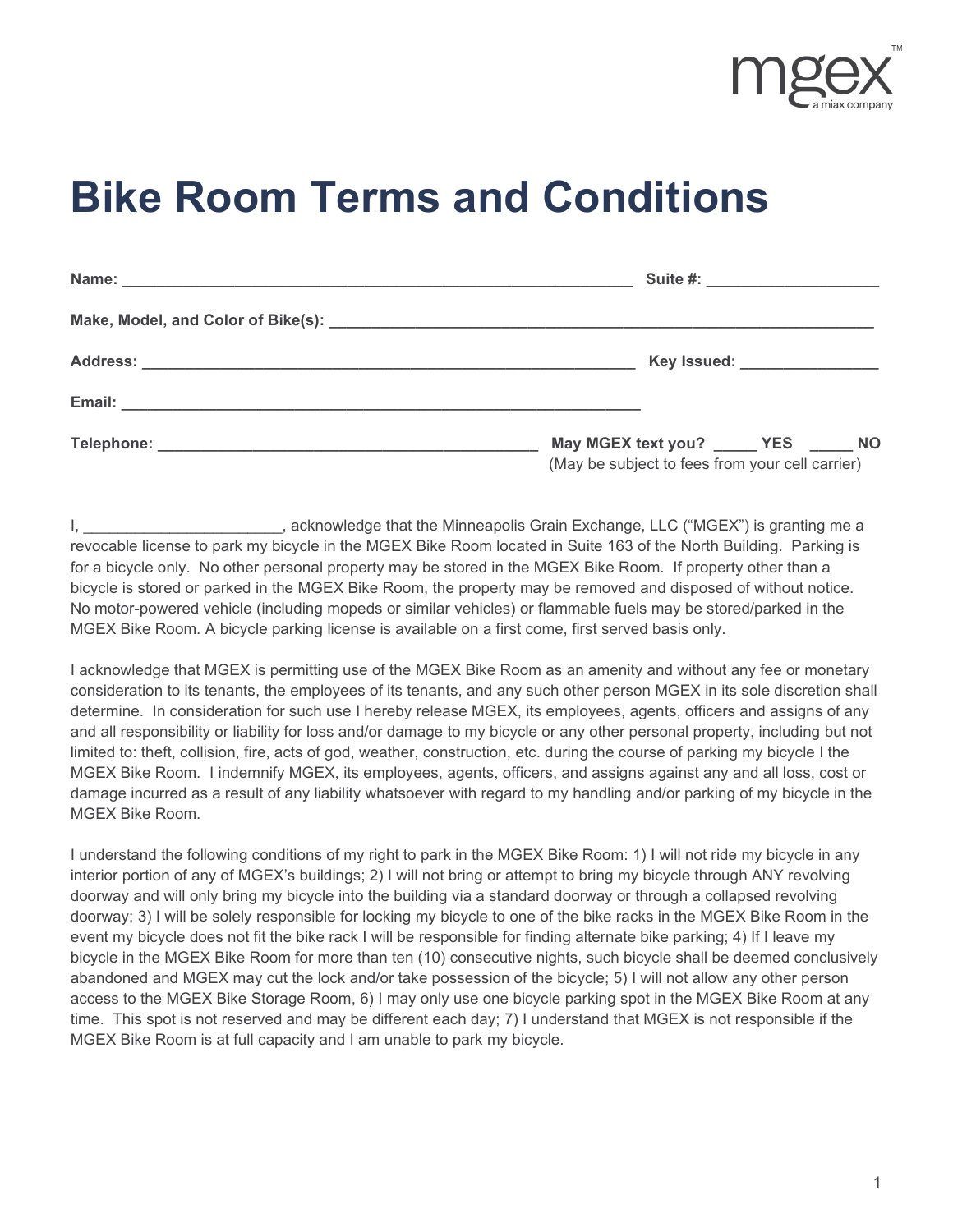

## **Bike Room Terms and Conditions**

| Suite #: _______________________                                                         |
|------------------------------------------------------------------------------------------|
|                                                                                          |
| Key Issued: __________________                                                           |
|                                                                                          |
| May MGEX text you? _____ YES _____ NO<br>(May be subject to fees from your cell carrier) |

I, L. The Suite of that the Minneapolis Grain Exchange, LLC ("MGEX") is granting me a revocable license to park my bicycle in the MGEX Bike Room located in Suite 163 of the North Building. Parking is for a bicycle only. No other personal property may be stored in the MGEX Bike Room. If property other than a bicycle is stored or parked in the MGEX Bike Room, the property may be removed and disposed of without notice. No motor-powered vehicle (including mopeds or similar vehicles) or flammable fuels may be stored/parked in the MGEX Bike Room. A bicycle parking license is available on a first come, first served basis only.

I acknowledge that MGEX is permitting use of the MGEX Bike Room as an amenity and without any fee or monetary consideration to its tenants, the employees of its tenants, and any such other person MGEX in its sole discretion shall determine. In consideration for such use I hereby release MGEX, its employees, agents, officers and assigns of any and all responsibility or liability for loss and/or damage to my bicycle or any other personal property, including but not limited to: theft, collision, fire, acts of god, weather, construction, etc. during the course of parking my bicycle I the MGEX Bike Room. I indemnify MGEX, its employees, agents, officers, and assigns against any and all loss, cost or damage incurred as a result of any liability whatsoever with regard to my handling and/or parking of my bicycle in the MGEX Bike Room.

I understand the following conditions of my right to park in the MGEX Bike Room: 1) I will not ride my bicycle in any interior portion of any of MGEX's buildings; 2) I will not bring or attempt to bring my bicycle through ANY revolving doorway and will only bring my bicycle into the building via a standard doorway or through a collapsed revolving doorway; 3) I will be solely responsible for locking my bicycle to one of the bike racks in the MGEX Bike Room in the event my bicycle does not fit the bike rack I will be responsible for finding alternate bike parking; 4) If I leave my bicycle in the MGEX Bike Room for more than ten (10) consecutive nights, such bicycle shall be deemed conclusively abandoned and MGEX may cut the lock and/or take possession of the bicycle; 5) I will not allow any other person access to the MGEX Bike Storage Room, 6) I may only use one bicycle parking spot in the MGEX Bike Room at any time. This spot is not reserved and may be different each day; 7) I understand that MGEX is not responsible if the MGEX Bike Room is at full capacity and I am unable to park my bicycle.